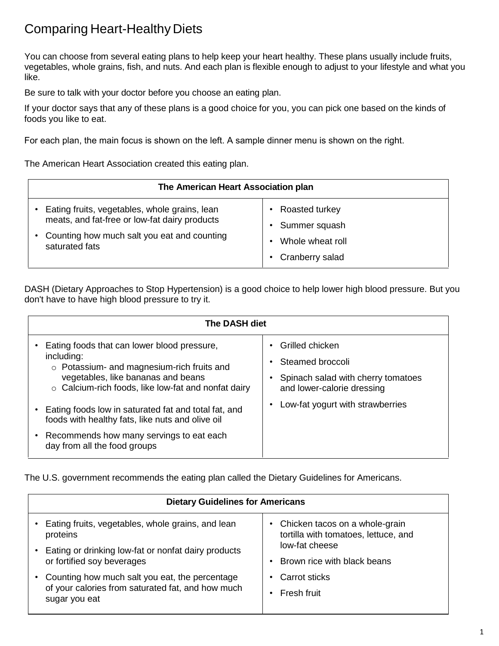## Comparing Heart-Healthy Diets

You can choose from several eating plans to help keep your heart healthy. These plans usually include fruits, vegetables, whole grains, fish, and nuts. And each plan is flexible enough to adjust to your lifestyle and what you like.

Be sure to talk with your doctor before you choose an eating plan.

If your doctor says that any of these plans is a good choice for you, you can pick one based on the kinds of foods you like to eat.

For each plan, the main focus is shown on the left. A sample dinner menu is shown on the right.

The American Heart Association created this eating plan.

| The American Heart Association plan           |                  |  |
|-----------------------------------------------|------------------|--|
| Eating fruits, vegetables, whole grains, lean | Roasted turkey   |  |
| meats, and fat-free or low-fat dairy products | Summer squash    |  |
| Counting how much salt you eat and counting   | Whole wheat roll |  |
| saturated fats                                | Cranberry salad  |  |

DASH (Dietary Approaches to Stop Hypertension) is a good choice to help lower high blood pressure. But you don't have to have high blood pressure to try it.

| <b>The DASH diet</b>                                                                                                                                                                                                                                                                                                                                                                               |                                                                                                                                             |  |
|----------------------------------------------------------------------------------------------------------------------------------------------------------------------------------------------------------------------------------------------------------------------------------------------------------------------------------------------------------------------------------------------------|---------------------------------------------------------------------------------------------------------------------------------------------|--|
| Eating foods that can lower blood pressure,<br>including:<br>o Potassium- and magnesium-rich fruits and<br>vegetables, like bananas and beans<br>$\circ$ Calcium-rich foods, like low-fat and nonfat dairy<br>Eating foods low in saturated fat and total fat, and<br>foods with healthy fats, like nuts and olive oil<br>Recommends how many servings to eat each<br>day from all the food groups | Grilled chicken<br>Steamed broccoli<br>Spinach salad with cherry tomatoes<br>and lower-calorie dressing<br>Low-fat yogurt with strawberries |  |

The U.S. government recommends the eating plan called the Dietary Guidelines for Americans.

| <b>Dietary Guidelines for Americans</b>                                                                              |                                      |  |
|----------------------------------------------------------------------------------------------------------------------|--------------------------------------|--|
| Eating fruits, vegetables, whole grains, and lean                                                                    | Chicken tacos on a whole-grain       |  |
| proteins                                                                                                             | tortilla with tomatoes, lettuce, and |  |
| Eating or drinking low-fat or nonfat dairy products                                                                  | low-fat cheese                       |  |
| or fortified soy beverages                                                                                           | Brown rice with black beans          |  |
| Counting how much salt you eat, the percentage<br>of your calories from saturated fat, and how much<br>sugar you eat | Carrot sticks<br>Fresh fruit         |  |